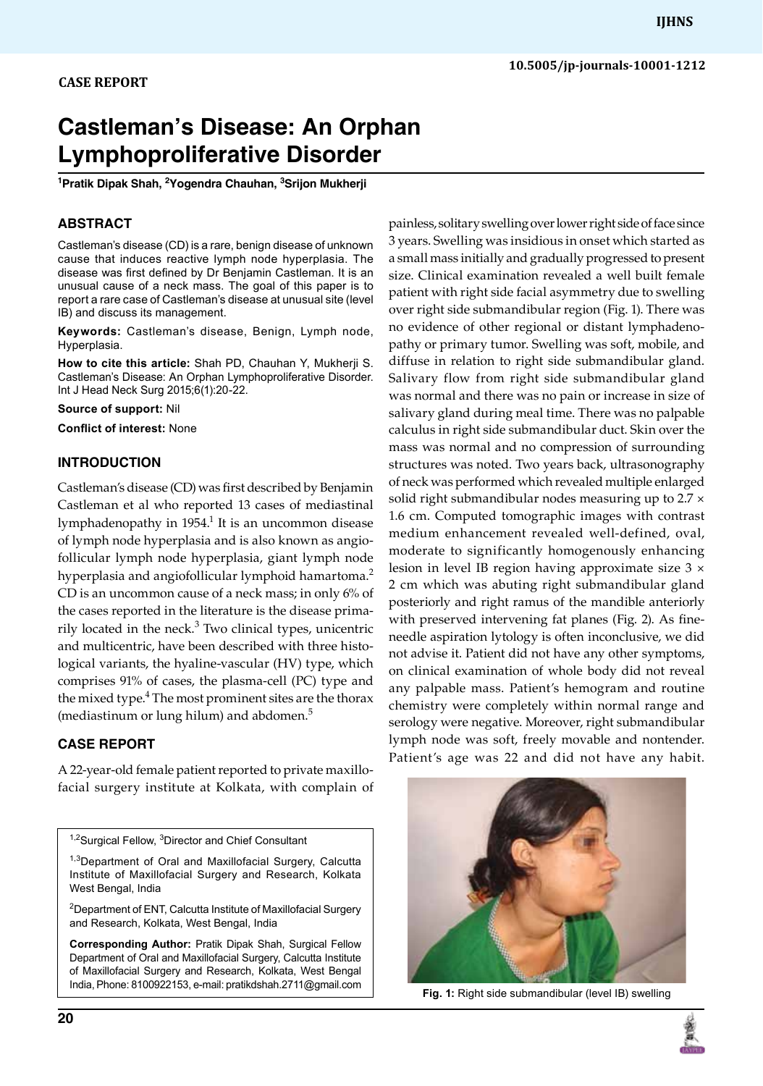# **Castleman's Disease: An Orphan Lymphoproliferative Disorder**

**1 Pratik Dipak Shah, 2 Yogendra Chauhan, 3 Srijon Mukherji** 

# **ABSTRACT**

Castleman's disease (CD) is a rare, benign disease of unknown cause that induces reactive lymph node hyperplasia. The disease was first defined by Dr Benjamin Castleman. It is an unusual cause of a neck mass. The goal of this paper is to report a rare case of Castleman's disease at unusual site (level IB) and discuss its management.

**Keywords:** Castleman's disease, Benign, Lymph node, Hyperplasia.

**How to cite this article:** Shah PD, Chauhan Y, Mukherji s. Castleman's Disease: An Orphan Lymphoproliferative Disorder. Int J Head Neck Surg 2015;6(1):20-22.

**Source of support:** Nil

**Conflict of interest:** None

## **Introduction**

Castleman's disease (CD) was first described by Benjamin Castleman et al who reported 13 cases of mediastinal lymphadenopathy in 1954.<sup>1</sup> It is an uncommon disease of lymph node hyperplasia and is also known as angiofollicular lymph node hyperplasia, giant lymph node hyperplasia and angiofollicular lymphoid hamartoma.<sup>2</sup> CD is an uncommon cause of a neck mass; in only 6% of the cases reported in the literature is the disease primarily located in the neck. $3$  Two clinical types, unicentric and multicentric, have been described with three histological variants, the hyaline-vascular (HV) type, which comprises 91% of cases, the plasma-cell (PC) type and the mixed type.<sup>4</sup> The most prominent sites are the thorax (mediastinum or lung hilum) and abdomen.<sup>5</sup>

# **Case report**

A 22-year-old female patient reported to private maxillofacial surgery institute at kolkata, with complain of

<sup>1,2</sup>Surgical Fellow, <sup>3</sup>Director and Chief Consultant

<sup>1,3</sup>Department of Oral and Maxillofacial Surgery, Calcutta Institute of Maxillofacial Surgery and Research, Kolkata West Bengal, India

<sup>2</sup>Department of ENT, Calcutta Institute of Maxillofacial Surgery and Research, Kolkata, West Bengal, India

**Corresponding Author:** Pratik Dipak Shah, Surgical Fellow Department of Oral and Maxillofacial Surgery, Calcutta Institute of Maxillofacial Surgery and Research, Kolkata, West Bengal India, Phone: 8100922153, e-mail: pratikdshah.2711@gmail.com painless, solitary swelling over lower right side of face since 3 years. Swelling was insidious in onset which started as a small mass initially and gradually progressed to present size. Clinical examination revealed a well built female patient with right side facial asymmetry due to swelling over right side submandibular region (Fig. 1). There was no evidence of other regional or distant lymphadenopathy or primary tumor. Swelling was soft, mobile, and diffuse in relation to right side submandibular gland. Salivary flow from right side submandibular gland was normal and there was no pain or increase in size of salivary gland during meal time. There was no palpable calculus in right side submandibular duct. Skin over the mass was normal and no compression of surrounding structures was noted. Two years back, ultrasonography of neck was performed which revealed multiple enlarged solid right submandibular nodes measuring up to 2.7  $\times$ 1.6 cm. Computed tomographic images with contrast medium enhancement revealed well-defined, oval, moderate to significantly homogenously enhancing lesion in level IB region having approximate size 3 × 2 cm which was abuting right submandibular gland posteriorly and right ramus of the mandible anteriorly with preserved intervening fat planes (Fig. 2). As fineneedle aspiration lytology is often inconclusive, we did not advise it. Patient did not have any other symptoms, on clinical examination of whole body did not reveal any palpable mass. Patient's hemogram and routine chemistry were completely within normal range and serology were negative. Moreover, right submandibular lymph node was soft, freely movable and nontender. Patient's age was 22 and did not have any habit.



**Fig. 1:** Right side submandibular (level IB) swelling

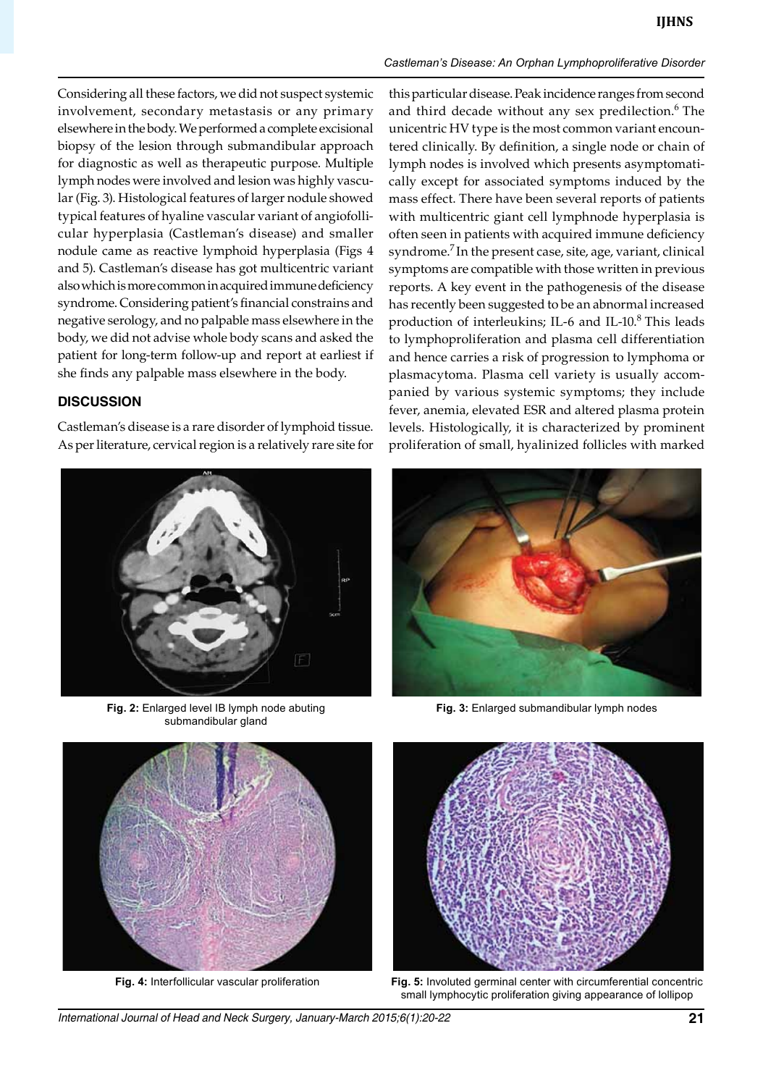#### *Castleman's Disease: An Orphan Lymphoproliferative Disorder*

Considering all these factors, we did not suspect systemic involvement, secondary metastasis or any primary elsewhere in the body. We performed a complete excisional biopsy of the lesion through submandibular approach for diagnostic as well as therapeutic purpose. Multiple lymph nodes were involved and lesion was highly vascular (Fig. 3). Histological features of larger nodule showed typical features of hyaline vascular variant of angiofollicular hyperplasia (castleman's disease) and smaller nodule came as reactive lymphoid hyperplasia (Figs 4 and 5). Castleman's disease has got multicentric variant also which is more common in acquired immune deficiency syndrome. Considering patient's financial constrains and negative serology, and no palpable mass elsewhere in the body, we did not advise whole body scans and asked the patient for long-term follow-up and report at earliest if she finds any palpable mass elsewhere in the body.

### **Discussion**

Castleman's disease is a rare disorder of lymphoid tissue. As per literature, cervical region is a relatively rare site for



**Fig. 2:** Enlarged level IB lymph node abuting submandibular gland



**Fig. 4:** Interfollicular vascular proliferation

this particular disease. Peak incidence ranges from second and third decade without any sex predilection. $6$  The unicentric HV type is the most common variant encountered clinically. By definition, a single node or chain of lymph nodes is involved which presents asymptomatically except for associated symptoms induced by the mass effect. There have been several reports of patients with multicentric giant cell lymphnode hyperplasia is often seen in patients with acquired immune deficiency syndrome.<sup>7</sup> In the present case, site, age, variant, clinical symptoms are compatible with those written in previous reports. A key event in the pathogenesis of the disease has recently been suggested to be an abnormal increased production of interleukins; IL-6 and IL-10. $8$  This leads to lymphoproliferation and plasma cell differentiation and hence carries a risk of progression to lymphoma or plasmacytoma. Plasma cell variety is usually accompanied by various systemic symptoms; they include fever, anemia, elevated ESR and altered plasma protein levels. Histologically, it is characterized by prominent proliferation of small, hyalinized follicles with marked



**Fig. 3:** Enlarged submandibular lymph nodes



**Fig. 5:** Involuted germinal center with circumferential concentric small lymphocytic proliferation giving appearance of lollipop